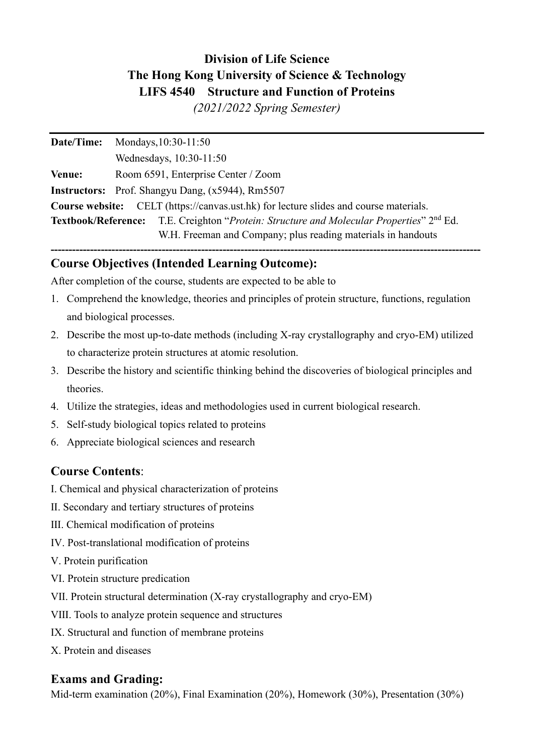# **Division of Life Science The Hong Kong University of Science & Technology LIFS 4540 Structure and Function of Proteins**

*(2021/2022 Spring Semester)*

| Date/Time:    | Mondays, 10:30-11:50                                                                                        |
|---------------|-------------------------------------------------------------------------------------------------------------|
|               | Wednesdays, 10:30-11:50                                                                                     |
| <b>Venue:</b> | Room 6591, Enterprise Center / Zoom                                                                         |
|               | <b>Instructors:</b> Prof. Shangyu Dang, (x5944), Rm5507                                                     |
|               | <b>Course website:</b> CELT (https://canvas.ust.hk) for lecture slides and course materials.                |
|               | <b>Textbook/Reference:</b> T.E. Creighton "Protein: Structure and Molecular Properties" 2 <sup>nd</sup> Ed. |
|               | W.H. Freeman and Company; plus reading materials in handouts                                                |

# **Course Objectives (Intended Learning Outcome):**

After completion of the course, students are expected to be able to

1. Comprehend the knowledge, theories and principles of protein structure, functions, regulation and biological processes.

**------------------------------------------------------------------------------------------------------------------------**

- 2. Describe the most up-to-date methods (including X-ray crystallography and cryo-EM) utilized to characterize protein structures at atomic resolution.
- 3. Describe the history and scientific thinking behind the discoveries of biological principles and theories.
- 4. Utilize the strategies, ideas and methodologies used in current biological research.
- 5. Self-study biological topics related to proteins
- 6. Appreciate biological sciences and research

# **Course Contents**:

- Ⅰ. Chemical and physical characterization of proteins
- Ⅱ. Secondary and tertiary structures of proteins
- Ⅲ. Chemical modification of proteins
- Ⅳ. Post-translational modification of proteins
- Ⅴ. Protein purification
- Ⅵ. Protein structure predication
- Ⅶ. Protein structural determination (X-ray crystallography and cryo-EM)
- Ⅷ. Tools to analyze protein sequence and structures
- Ⅸ. Structural and function of membrane proteins
- Ⅹ. Protein and diseases

# **Exams and Grading:**

Mid-term examination (20%), Final Examination (20%), Homework (30%), Presentation (30%)